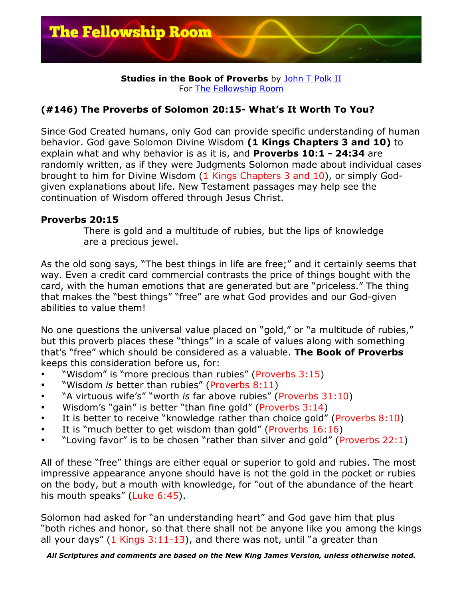

## **Studies in the Book of Proverbs** by John T Polk II For The Fellowship Room

## **(#146) The Proverbs of Solomon 20:15- What's It Worth To You?**

Since God Created humans, only God can provide specific understanding of human behavior. God gave Solomon Divine Wisdom **(1 Kings Chapters 3 and 10)** to explain what and why behavior is as it is, and **Proverbs 10:1 - 24:34** are randomly written, as if they were Judgments Solomon made about individual cases brought to him for Divine Wisdom (1 Kings Chapters 3 and 10), or simply Godgiven explanations about life. New Testament passages may help see the continuation of Wisdom offered through Jesus Christ.

## **Proverbs 20:15**

There is gold and a multitude of rubies, but the lips of knowledge are a precious jewel.

As the old song says, "The best things in life are free;" and it certainly seems that way. Even a credit card commercial contrasts the price of things bought with the card, with the human emotions that are generated but are "priceless." The thing that makes the "best things" "free" are what God provides and our God-given abilities to value them!

No one questions the universal value placed on "gold," or "a multitude of rubies," but this proverb places these "things" in a scale of values along with something that's "free" which should be considered as a valuable. **The Book of Proverbs** keeps this consideration before us, for:

- "Wisdom" is "more precious than rubies" (Proverbs 3:15)
- "Wisdom *is* better than rubies" (Proverbs 8:11)
- "A virtuous wife's" "worth *is* far above rubies" (Proverbs 31:10)
- Wisdom's "gain" is better "than fine gold" (Proverbs 3:14)
- It is better to receive "knowledge rather than choice gold" (Proverbs  $8:10$ )
- It is "much better to get wisdom than gold" (Proverbs 16:16)
- "Loving favor" is to be chosen "rather than silver and gold" (Proverbs 22:1)

All of these "free" things are either equal or superior to gold and rubies. The most impressive appearance anyone should have is not the gold in the pocket or rubies on the body, but a mouth with knowledge, for "out of the abundance of the heart his mouth speaks" (Luke 6:45).

Solomon had asked for "an understanding heart" and God gave him that plus "both riches and honor, so that there shall not be anyone like you among the kings all your days"  $(1$  Kings  $3:11-13$ , and there was not, until "a greater than

*All Scriptures and comments are based on the New King James Version, unless otherwise noted.*